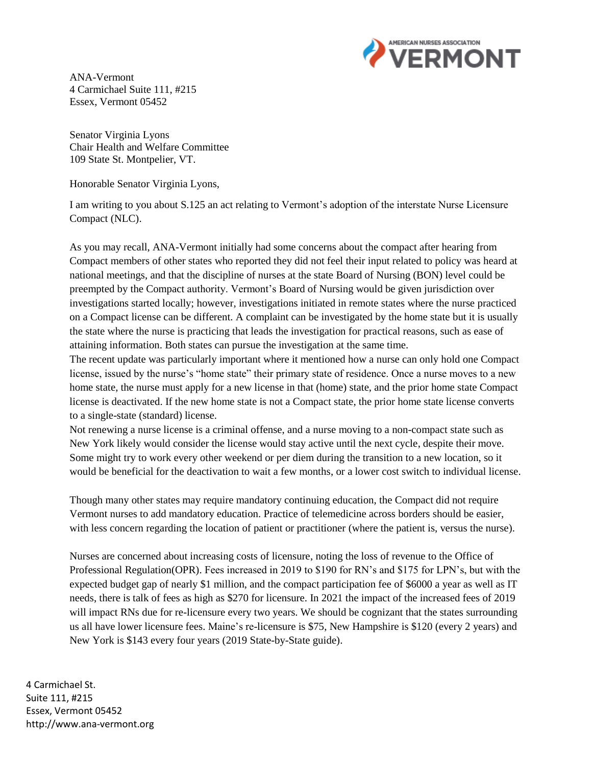

ANA-Vermont 4 Carmichael Suite 111, #215 Essex, Vermont 05452

Senator Virginia Lyons Chair Health and Welfare Committee 109 State St. Montpelier, VT.

Honorable Senator Virginia Lyons,

I am writing to you about S.125 an act relating to Vermont's adoption of the interstate Nurse Licensure Compact (NLC).

As you may recall, ANA-Vermont initially had some concerns about the compact after hearing from Compact members of other states who reported they did not feel their input related to policy was heard at national meetings, and that the discipline of nurses at the state Board of Nursing (BON) level could be preempted by the Compact authority. Vermont's Board of Nursing would be given jurisdiction over investigations started locally; however, investigations initiated in remote states where the nurse practiced on a Compact license can be different. A complaint can be investigated by the home state but it is usually the state where the nurse is practicing that leads the investigation for practical reasons, such as ease of attaining information. Both states can pursue the investigation at the same time.

The recent update was particularly important where it mentioned how a nurse can only hold one Compact license, issued by the nurse's "home state" their primary state of residence. Once a nurse moves to a new home state, the nurse must apply for a new license in that (home) state, and the prior home state Compact license is deactivated. If the new home state is not a Compact state, the prior home state license converts to a single-state (standard) license.

Not renewing a nurse license is a criminal offense, and a nurse moving to a non-compact state such as New York likely would consider the license would stay active until the next cycle, despite their move. Some might try to work every other weekend or per diem during the transition to a new location, so it would be beneficial for the deactivation to wait a few months, or a lower cost switch to individual license.

Though many other states may require mandatory continuing education, the Compact did not require Vermont nurses to add mandatory education. Practice of telemedicine across borders should be easier, with less concern regarding the location of patient or practitioner (where the patient is, versus the nurse).

Nurses are concerned about increasing costs of licensure, noting the loss of revenue to the Office of Professional Regulation(OPR). Fees increased in 2019 to \$190 for RN's and \$175 for LPN's, but with the expected budget gap of nearly \$1 million, and the compact participation fee of \$6000 a year as well as IT needs, there is talk of fees as high as \$270 for licensure. In 2021 the impact of the increased fees of 2019 will impact RNs due for re-licensure every two years. We should be cognizant that the states surrounding us all have lower licensure fees. Maine's re-licensure is \$75, New Hampshire is \$120 (every 2 years) and New York is \$143 every four years (2019 State-by-State guide).

4 Carmichael St. Suite 111, #215 Essex, Vermont 05452 http://www.ana-vermont.org